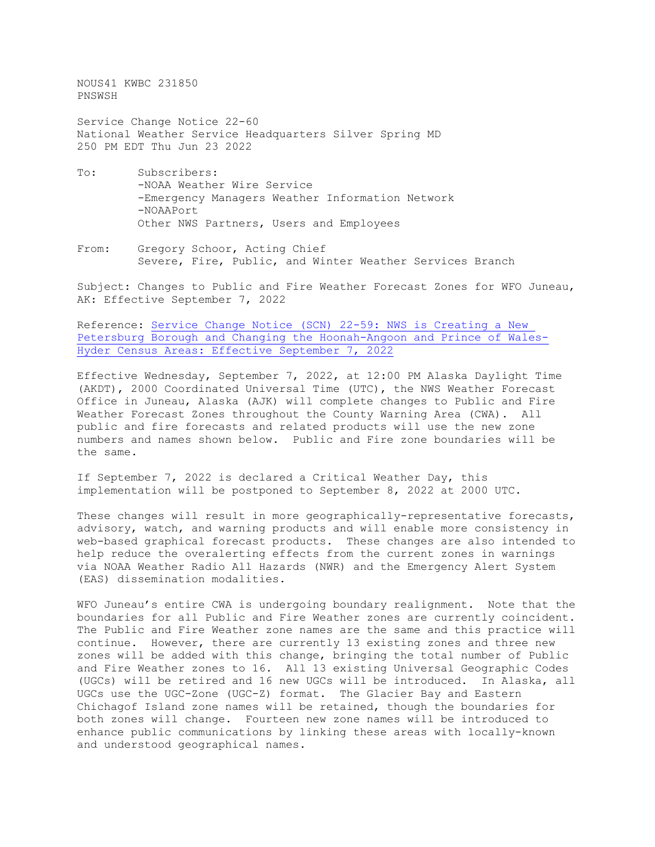NOUS41 KWBC 231850 PNSWSH

Service Change Notice 22-60 National Weather Service Headquarters Silver Spring MD 250 PM EDT Thu Jun 23 2022

- To: Subscribers: -NOAA Weather Wire Service -Emergency Managers Weather Information Network -NOAAPort Other NWS Partners, Users and Employees
- From: Gregory Schoor, Acting Chief Severe, Fire, Public, and Winter Weather Services Branch

Subject: Changes to Public and Fire Weather Forecast Zones for WFO Juneau, AK: Effective September 7, 2022

Reference: Service Change Notice (SCN) [22-59: NWS is Creating a New](https://www.weather.gov/media/notification/pdf2/scn22-59_petersburg_census_area_changes.pdf)  [Petersburg Borough and Changing](https://www.weather.gov/media/notification/pdf2/scn22-59_petersburg_census_area_changes.pdf) the Hoonah-Angoon and Prince of Wales-Hyder Census Areas: [Effective September 7, 2022](https://www.weather.gov/media/notification/pdf2/scn22-59_petersburg_census_area_changes.pdf)

Effective Wednesday, September 7, 2022, at 12:00 PM Alaska Daylight Time (AKDT), 2000 Coordinated Universal Time (UTC), the NWS Weather Forecast Office in Juneau, Alaska (AJK) will complete changes to Public and Fire Weather Forecast Zones throughout the County Warning Area (CWA). All public and fire forecasts and related products will use the new zone numbers and names shown below. Public and Fire zone boundaries will be the same.

If September 7, 2022 is declared a Critical Weather Day, this implementation will be postponed to September 8, 2022 at 2000 UTC.

These changes will result in more geographically-representative forecasts, advisory, watch, and warning products and will enable more consistency in web-based graphical forecast products. These changes are also intended to help reduce the overalerting effects from the current zones in warnings via NOAA Weather Radio All Hazards (NWR) and the Emergency Alert System (EAS) dissemination modalities.

WFO Juneau's entire CWA is undergoing boundary realignment. Note that the boundaries for all Public and Fire Weather zones are currently coincident. The Public and Fire Weather zone names are the same and this practice will continue. However, there are currently 13 existing zones and three new zones will be added with this change, bringing the total number of Public and Fire Weather zones to 16. All 13 existing Universal Geographic Codes (UGCs) will be retired and 16 new UGCs will be introduced. In Alaska, all UGCs use the UGC-Zone (UGC-Z) format. The Glacier Bay and Eastern Chichagof Island zone names will be retained, though the boundaries for both zones will change. Fourteen new zone names will be introduced to enhance public communications by linking these areas with locally-known and understood geographical names.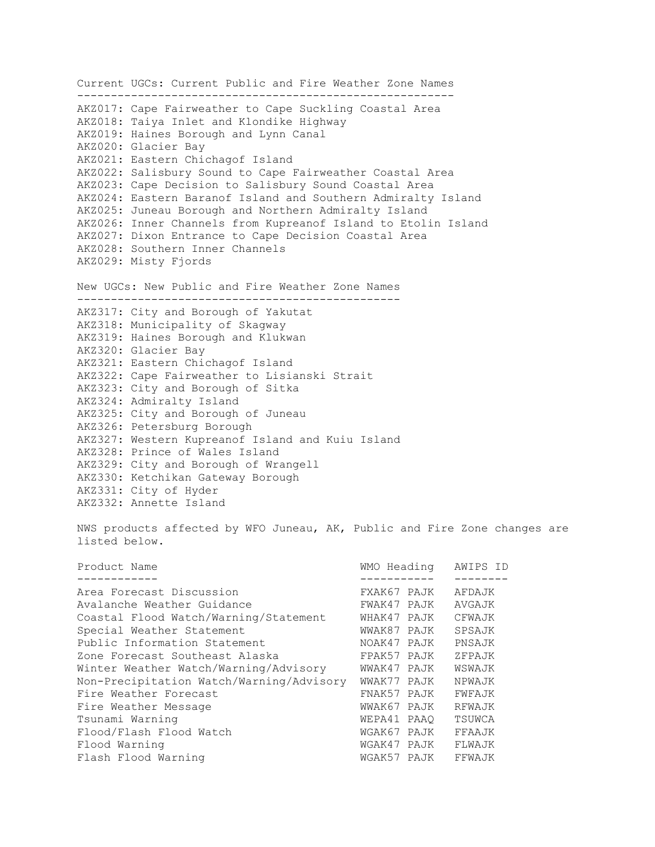Current UGCs: Current Public and Fire Weather Zone Names -------------------------------------------------------- AKZ017: Cape Fairweather to Cape Suckling Coastal Area AKZ018: Taiya Inlet and Klondike Highway AKZ019: Haines Borough and Lynn Canal AKZ020: Glacier Bay AKZ021: Eastern Chichagof Island AKZ022: Salisbury Sound to Cape Fairweather Coastal Area AKZ023: Cape Decision to Salisbury Sound Coastal Area AKZ024: Eastern Baranof Island and Southern Admiralty Island AKZ025: Juneau Borough and Northern Admiralty Island AKZ026: Inner Channels from Kupreanof Island to Etolin Island AKZ027: Dixon Entrance to Cape Decision Coastal Area AKZ028: Southern Inner Channels AKZ029: Misty Fjords New UGCs: New Public and Fire Weather Zone Names ------------------------------------------------ AKZ317: City and Borough of Yakutat AKZ318: Municipality of Skagway AKZ319: Haines Borough and Klukwan AKZ320: Glacier Bay AKZ321: Eastern Chichagof Island AKZ322: Cape Fairweather to Lisianski Strait AKZ323: City and Borough of Sitka AKZ324: Admiralty Island AKZ325: City and Borough of Juneau AKZ326: Petersburg Borough AKZ327: Western Kupreanof Island and Kuiu Island AKZ328: Prince of Wales Island AKZ329: City and Borough of Wrangell AKZ330: Ketchikan Gateway Borough AKZ331: City of Hyder AKZ332: Annette Island NWS products affected by WFO Juneau, AK, Public and Fire Zone changes are listed below. Product Name WMO Heading AWIPS ID -----------<br>FXAK67 PAJK Area Forecast Discussion FXAK67 PAJK AFDAJK Avalanche Weather Guidance FWAK47 PAJK AVGAJK<br>Coastal Flood Watch/Warning/Statement WHAK47 PAJK CFWAJK Coastal Flood Watch/Warning/Statement MHAK47 PAJK CFWAJK<br>Special Weather Statement MWAK87 PAJK SPSAJK Special Weather Statement WWAK87 PAJK SPSAJK Public Information Statement MOAK47 PAJK PNSAJK<br>Zone Forecast Southeast Alaska Nashing PPAK57 PAJK ZFPAJK Zone Forecast Southeast Alaska Winter Weather Watch/Warning/Advisory WWAK47 PAJK WSWAJK Non-Precipitation Watch/Warning/Advisory WWAK77 PAJK NPWAJK Fire Weather Forecast The South PENAK57 PAJK FWFAJK<br>Fire Weather Message The Game WWAK67 PAJK RFWAJK Fire Weather Message Tsunami Warning 1999 - 1999 WEPA41 PAAQ 1989 WEDA41 PAAQ 2008<br>Flood/Flash Flood Watch 1999 - 1999 WGAK67 PAJK 1999 WEDAJK Flood/Flash Flood Watch Flood Warning WGAK47 PAJK FLWAJK

Flash Flood Warning